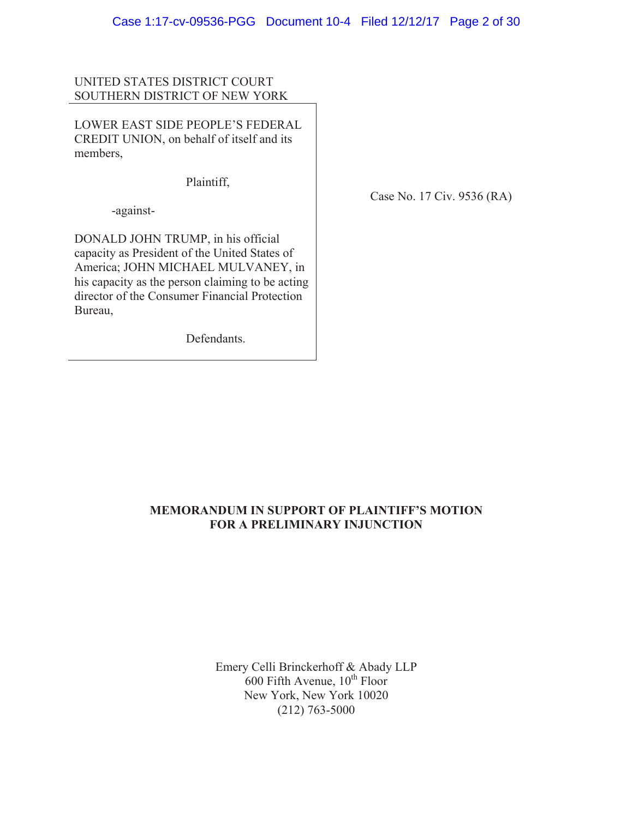# UNITED STATES DISTRICT COURT SOUTHERN DISTRICT OF NEW YORK

LOWER EAST SIDE PEOPLE'S FEDERAL CREDIT UNION, on behalf of itself and its members,

Plaintiff,

-against-

DONALD JOHN TRUMP, in his official capacity as President of the United States of America; JOHN MICHAEL MULVANEY, in his capacity as the person claiming to be acting director of the Consumer Financial Protection Bureau,

Defendants.

Case No. 17 Civ. 9536 (RA)

# **MEMORANDUM IN SUPPORT OF PLAINTIFF'S MOTION FOR A PRELIMINARY INJUNCTION**

Emery Celli Brinckerhoff & Abady LLP  $600$  Fifth Avenue,  $10^{th}$  Floor New York, New York 10020 (212) 763-5000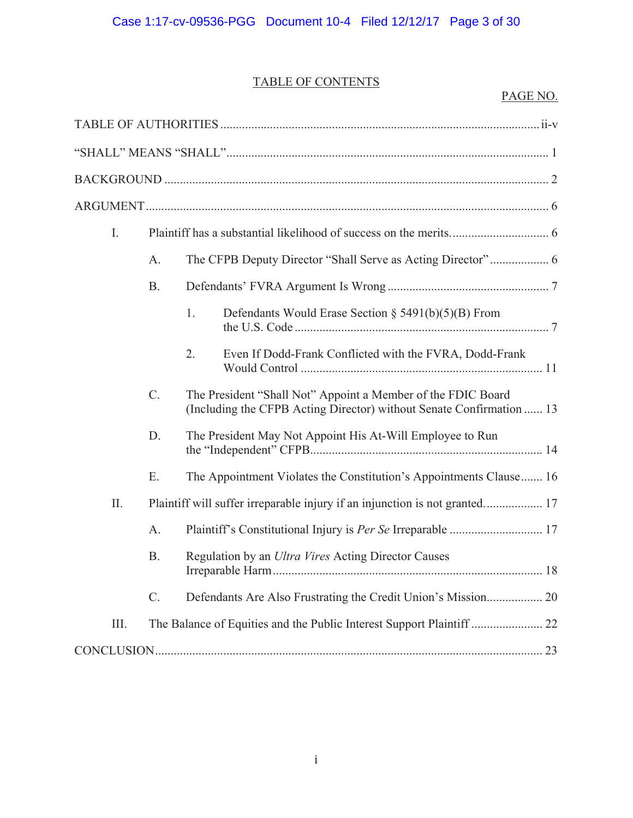# TABLE OF CONTENTS

| $I_{\cdot}$ |                 |                                                                                                                                      |  |  |  |  |
|-------------|-----------------|--------------------------------------------------------------------------------------------------------------------------------------|--|--|--|--|
|             | A.              |                                                                                                                                      |  |  |  |  |
|             | <b>B.</b>       |                                                                                                                                      |  |  |  |  |
|             |                 | 1.<br>Defendants Would Erase Section § 5491(b)(5)(B) From                                                                            |  |  |  |  |
|             |                 | 2.<br>Even If Dodd-Frank Conflicted with the FVRA, Dodd-Frank                                                                        |  |  |  |  |
|             | $\mathcal{C}$ . | The President "Shall Not" Appoint a Member of the FDIC Board<br>(Including the CFPB Acting Director) without Senate Confirmation  13 |  |  |  |  |
|             | D.              | The President May Not Appoint His At-Will Employee to Run                                                                            |  |  |  |  |
|             | Ε.              | The Appointment Violates the Constitution's Appointments Clause 16                                                                   |  |  |  |  |
| $\prod$     |                 | Plaintiff will suffer irreparable injury if an injunction is not granted 17                                                          |  |  |  |  |
|             | $A$ .           |                                                                                                                                      |  |  |  |  |
|             | <b>B.</b>       | Regulation by an Ultra Vires Acting Director Causes                                                                                  |  |  |  |  |
|             | $\mathcal{C}$ . |                                                                                                                                      |  |  |  |  |
| Ш.          |                 |                                                                                                                                      |  |  |  |  |
|             |                 |                                                                                                                                      |  |  |  |  |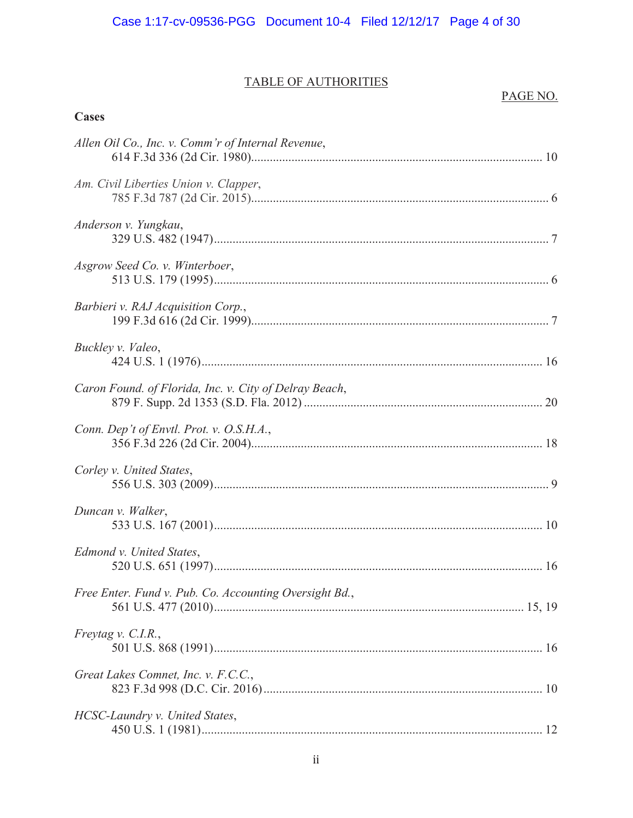# TABLE OF AUTHORITIES

# PAGE NO.

| <b>Cases</b>                                           |  |
|--------------------------------------------------------|--|
| Allen Oil Co., Inc. v. Comm'r of Internal Revenue,     |  |
| Am. Civil Liberties Union v. Clapper,                  |  |
| Anderson v. Yungkau,                                   |  |
| Asgrow Seed Co. v. Winterboer,                         |  |
| Barbieri v. RAJ Acquisition Corp.,                     |  |
| Buckley v. Valeo,                                      |  |
| Caron Found. of Florida, Inc. v. City of Delray Beach, |  |
| Conn. Dep't of Envtl. Prot. v. O.S.H.A.,               |  |
| Corley v. United States,                               |  |
| Duncan v. Walker,                                      |  |
| Edmond v. United States,                               |  |
| Free Enter. Fund v. Pub. Co. Accounting Oversight Bd., |  |
| Freytag v. C.I.R.,                                     |  |
| Great Lakes Comnet, Inc. v. F.C.C.,                    |  |
| HCSC-Laundry v. United States,                         |  |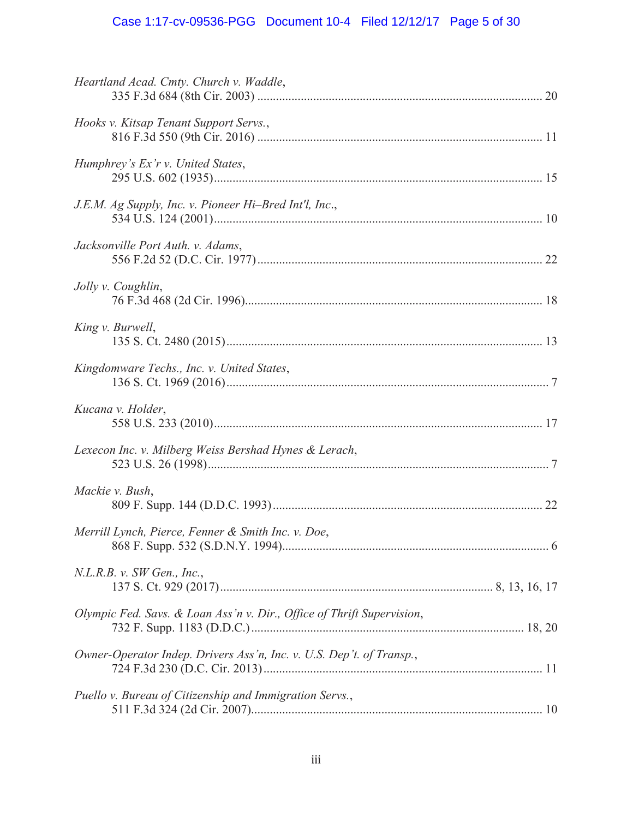# Case 1:17-cv-09536-PGG Document 10-4 Filed 12/12/17 Page 5 of 30

| Heartland Acad. Cmty. Church v. Waddle,                                |  |
|------------------------------------------------------------------------|--|
| Hooks v. Kitsap Tenant Support Servs.,                                 |  |
| Humphrey's Ex'r v. United States,                                      |  |
| J.E.M. Ag Supply, Inc. v. Pioneer Hi-Bred Int'l, Inc.,                 |  |
| Jacksonville Port Auth. v. Adams,                                      |  |
| Jolly v. Coughlin,                                                     |  |
| King v. Burwell,                                                       |  |
| Kingdomware Techs., Inc. v. United States,                             |  |
| Kucana v. Holder,                                                      |  |
| Lexecon Inc. v. Milberg Weiss Bershad Hynes & Lerach,                  |  |
| Mackie v. Bush,                                                        |  |
| Merrill Lynch, Pierce, Fenner & Smith Inc. v. Doe,                     |  |
| N.L.R.B. v. SW Gen., Inc.,                                             |  |
| Olympic Fed. Savs. & Loan Ass'n v. Dir., Office of Thrift Supervision, |  |
| Owner-Operator Indep. Drivers Ass'n, Inc. v. U.S. Dep't. of Transp.,   |  |
| Puello v. Bureau of Citizenship and Immigration Servs.,                |  |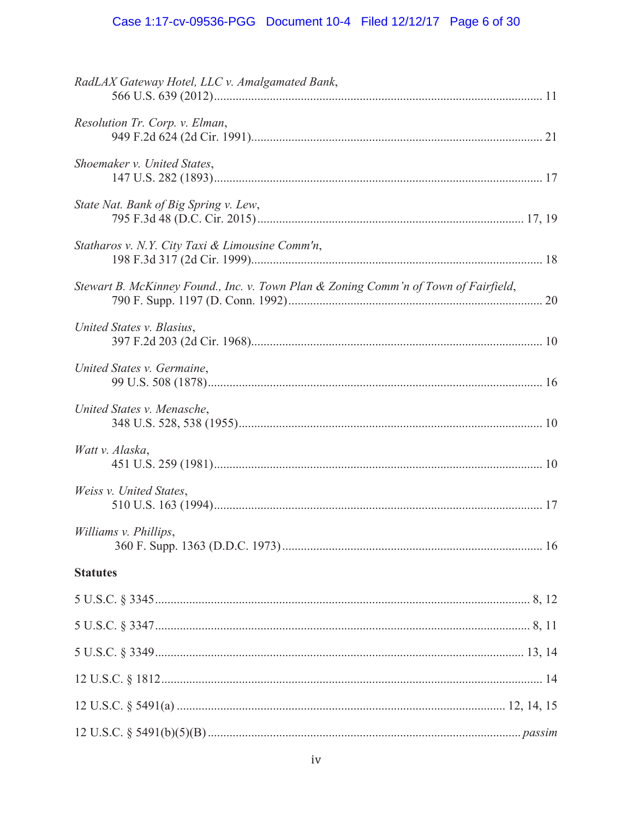# Case 1:17-cv-09536-PGG Document 10-4 Filed 12/12/17 Page 6 of 30

| RadLAX Gateway Hotel, LLC v. Amalgamated Bank,                                      |
|-------------------------------------------------------------------------------------|
| Resolution Tr. Corp. v. Elman,                                                      |
| Shoemaker v. United States,                                                         |
| State Nat. Bank of Big Spring v. Lew,                                               |
| Statharos v. N.Y. City Taxi & Limousine Comm'n,                                     |
| Stewart B. McKinney Found., Inc. v. Town Plan & Zoning Comm'n of Town of Fairfield, |
| United States v. Blasius,                                                           |
| United States v. Germaine,                                                          |
| United States v. Menasche,                                                          |
| Watt v. Alaska,                                                                     |
| Weiss v. United States,                                                             |
| Williams v. Phillips,                                                               |
| <b>Statutes</b>                                                                     |
|                                                                                     |
|                                                                                     |
|                                                                                     |
|                                                                                     |
|                                                                                     |
|                                                                                     |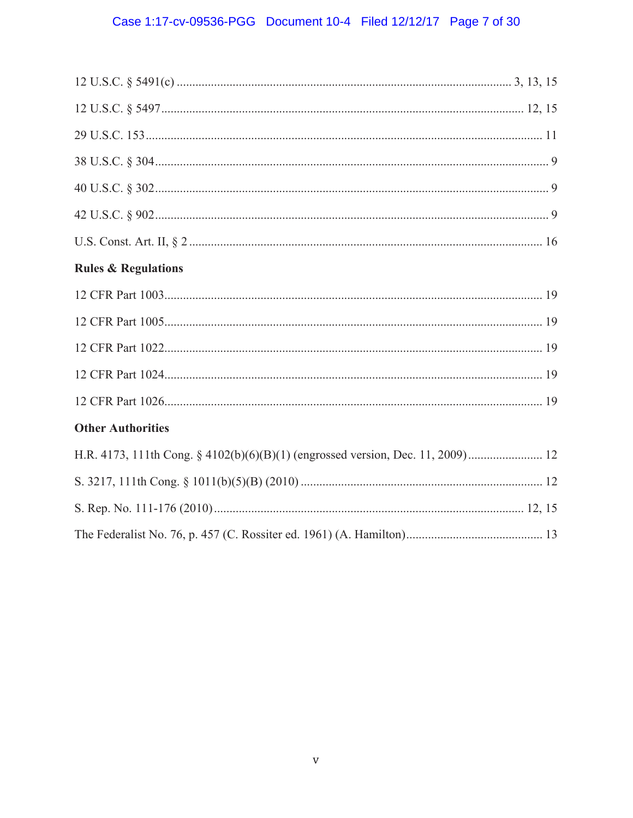# Case 1:17-cv-09536-PGG Document 10-4 Filed 12/12/17 Page 7 of 30

| <b>Rules &amp; Regulations</b>                                                  |  |
|---------------------------------------------------------------------------------|--|
|                                                                                 |  |
|                                                                                 |  |
|                                                                                 |  |
|                                                                                 |  |
|                                                                                 |  |
| <b>Other Authorities</b>                                                        |  |
| H.R. 4173, 111th Cong. § 4102(b)(6)(B)(1) (engrossed version, Dec. 11, 2009) 12 |  |
|                                                                                 |  |
|                                                                                 |  |
|                                                                                 |  |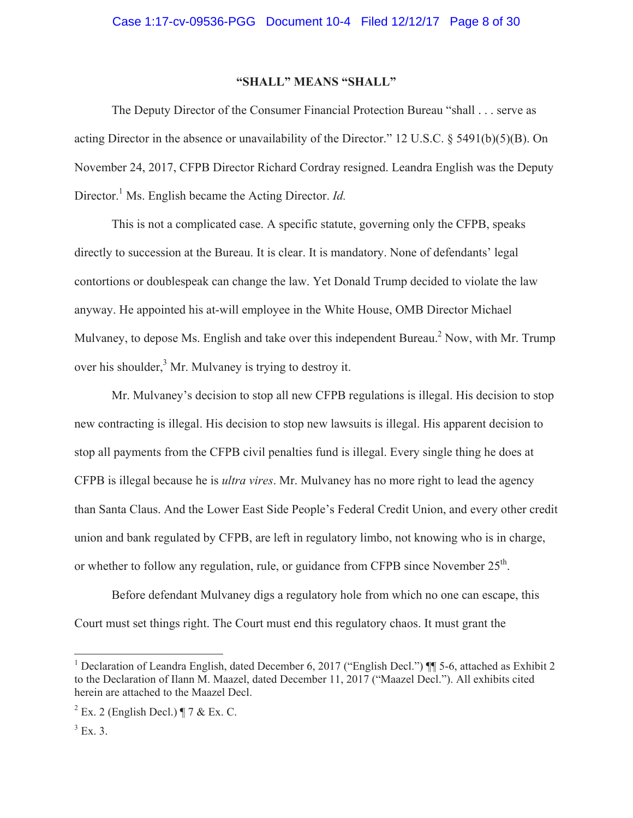## **"SHALL" MEANS "SHALL"**

The Deputy Director of the Consumer Financial Protection Bureau "shall . . . serve as acting Director in the absence or unavailability of the Director." 12 U.S.C. § 5491(b)(5)(B). On November 24, 2017, CFPB Director Richard Cordray resigned. Leandra English was the Deputy Director.<sup>1</sup> Ms. English became the Acting Director. *Id.* 

This is not a complicated case. A specific statute, governing only the CFPB, speaks directly to succession at the Bureau. It is clear. It is mandatory. None of defendants' legal contortions or doublespeak can change the law. Yet Donald Trump decided to violate the law anyway. He appointed his at-will employee in the White House, OMB Director Michael Mulvaney, to depose Ms. English and take over this independent Bureau.<sup>2</sup> Now, with Mr. Trump over his shoulder,<sup>3</sup> Mr. Mulvaney is trying to destroy it.

Mr. Mulvaney's decision to stop all new CFPB regulations is illegal. His decision to stop new contracting is illegal. His decision to stop new lawsuits is illegal. His apparent decision to stop all payments from the CFPB civil penalties fund is illegal. Every single thing he does at CFPB is illegal because he is *ultra vires*. Mr. Mulvaney has no more right to lead the agency than Santa Claus. And the Lower East Side People's Federal Credit Union, and every other credit union and bank regulated by CFPB, are left in regulatory limbo, not knowing who is in charge, or whether to follow any regulation, rule, or guidance from CFPB since November  $25<sup>th</sup>$ .

Before defendant Mulvaney digs a regulatory hole from which no one can escape, this Court must set things right. The Court must end this regulatory chaos. It must grant the

<sup>&</sup>lt;sup>1</sup> Declaration of Leandra English, dated December 6, 2017 ("English Decl.") ¶ 5-6, attached as Exhibit 2 to the Declaration of Ilann M. Maazel, dated December 11, 2017 ("Maazel Decl."). All exhibits cited herein are attached to the Maazel Decl.

 $2$  Ex. 2 (English Decl.) ¶ 7 & Ex. C.

 $3$  Ex. 3.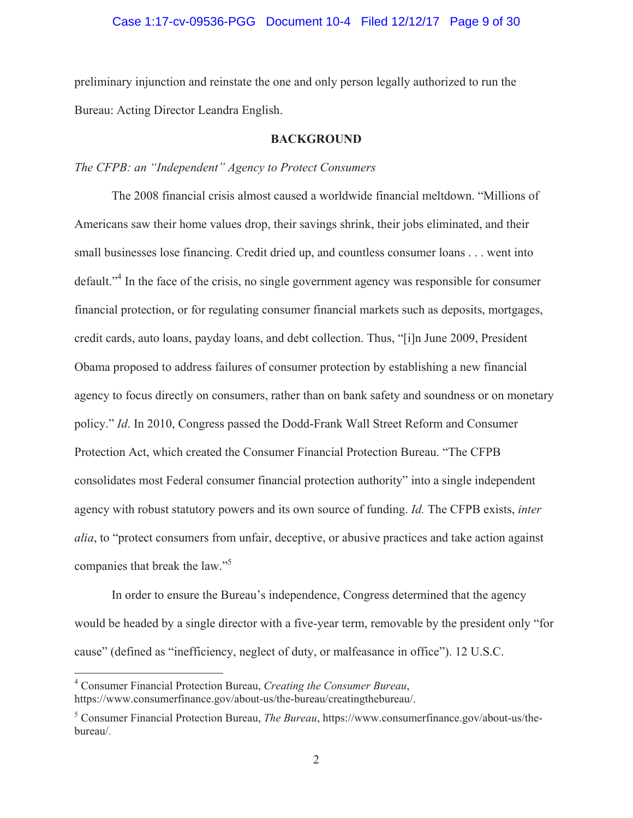### Case 1:17-cv-09536-PGG Document 10-4 Filed 12/12/17 Page 9 of 30

preliminary injunction and reinstate the one and only person legally authorized to run the Bureau: Acting Director Leandra English.

### **BACKGROUND**

### *The CFPB: an "Independent" Agency to Protect Consumers*

The 2008 financial crisis almost caused a worldwide financial meltdown. "Millions of Americans saw their home values drop, their savings shrink, their jobs eliminated, and their small businesses lose financing. Credit dried up, and countless consumer loans . . . went into default."<sup>4</sup> In the face of the crisis, no single government agency was responsible for consumer financial protection, or for regulating consumer financial markets such as deposits, mortgages, credit cards, auto loans, payday loans, and debt collection. Thus, "[i]n June 2009, President Obama proposed to address failures of consumer protection by establishing a new financial agency to focus directly on consumers, rather than on bank safety and soundness or on monetary policy." *Id*. In 2010, Congress passed the Dodd-Frank Wall Street Reform and Consumer Protection Act, which created the Consumer Financial Protection Bureau. "The CFPB consolidates most Federal consumer financial protection authority" into a single independent agency with robust statutory powers and its own source of funding. *Id.* The CFPB exists, *inter alia*, to "protect consumers from unfair, deceptive, or abusive practices and take action against companies that break the law."5

In order to ensure the Bureau's independence, Congress determined that the agency would be headed by a single director with a five-year term, removable by the president only "for cause" (defined as "inefficiency, neglect of duty, or malfeasance in office"). 12 U.S.C.

<sup>4</sup> Consumer Financial Protection Bureau, *Creating the Consumer Bureau*, https://www.consumerfinance.gov/about-us/the-bureau/creatingthebureau/.

<sup>5</sup> Consumer Financial Protection Bureau, *The Bureau*, https://www.consumerfinance.gov/about-us/thebureau/.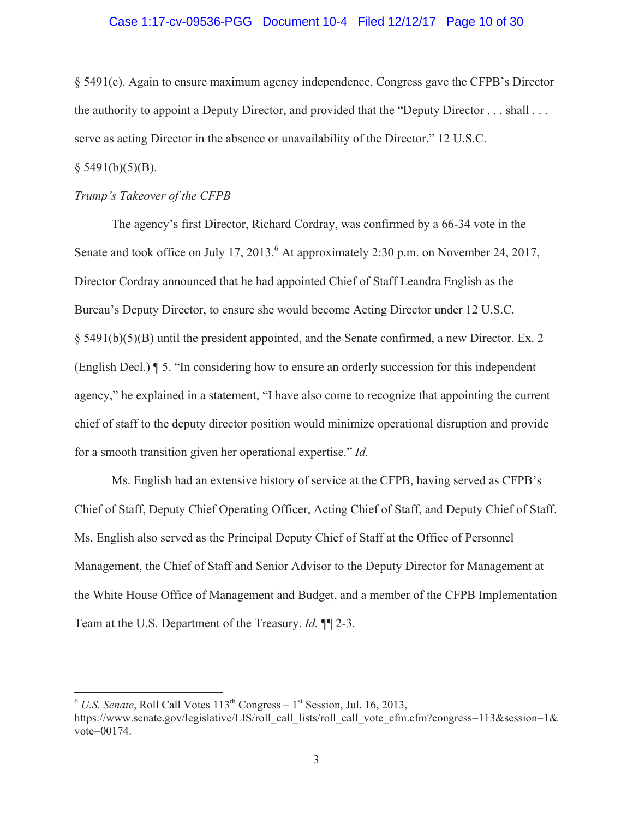### Case 1:17-cv-09536-PGG Document 10-4 Filed 12/12/17 Page 10 of 30

§ 5491(c). Again to ensure maximum agency independence, Congress gave the CFPB's Director the authority to appoint a Deputy Director, and provided that the "Deputy Director . . . shall . . . serve as acting Director in the absence or unavailability of the Director." 12 U.S.C.

# $§$  5491(b)(5)(B).

## *Trump's Takeover of the CFPB*

The agency's first Director, Richard Cordray, was confirmed by a 66-34 vote in the Senate and took office on July 17, 2013.<sup>6</sup> At approximately 2:30 p.m. on November 24, 2017, Director Cordray announced that he had appointed Chief of Staff Leandra English as the Bureau's Deputy Director, to ensure she would become Acting Director under 12 U.S.C. § 5491(b)(5)(B) until the president appointed, and the Senate confirmed, a new Director. Ex. 2 (English Decl.) ¶ 5. "In considering how to ensure an orderly succession for this independent agency," he explained in a statement, "I have also come to recognize that appointing the current chief of staff to the deputy director position would minimize operational disruption and provide for a smooth transition given her operational expertise." *Id.* 

Ms. English had an extensive history of service at the CFPB, having served as CFPB's Chief of Staff, Deputy Chief Operating Officer, Acting Chief of Staff, and Deputy Chief of Staff. Ms. English also served as the Principal Deputy Chief of Staff at the Office of Personnel Management, the Chief of Staff and Senior Advisor to the Deputy Director for Management at the White House Office of Management and Budget, and a member of the CFPB Implementation Team at the U.S. Department of the Treasury. *Id.* ¶¶ 2-3.

 $6$  U.S. Senate, Roll Call Votes  $113^{th}$  Congress –  $1^{st}$  Session, Jul. 16, 2013,

https://www.senate.gov/legislative/LIS/roll\_call\_lists/roll\_call\_vote\_cfm.cfm?congress=113&session=1& vote=00174.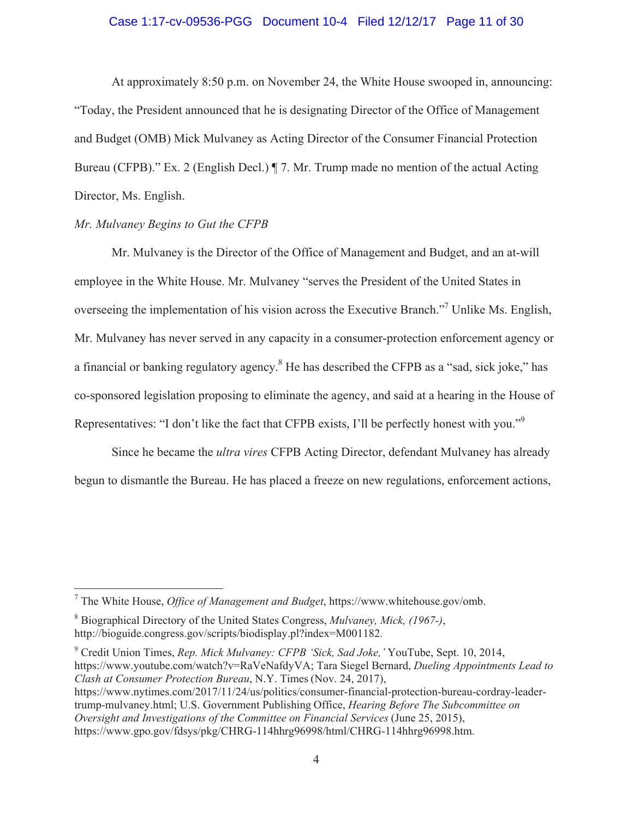### Case 1:17-cv-09536-PGG Document 10-4 Filed 12/12/17 Page 11 of 30

At approximately 8:50 p.m. on November 24, the White House swooped in, announcing: "Today, the President announced that he is designating Director of the Office of Management and Budget (OMB) Mick Mulvaney as Acting Director of the Consumer Financial Protection Bureau (CFPB)." Ex. 2 (English Decl.) ¶ 7. Mr. Trump made no mention of the actual Acting Director, Ms. English.

### *Mr. Mulvaney Begins to Gut the CFPB*

Mr. Mulvaney is the Director of the Office of Management and Budget, and an at-will employee in the White House. Mr. Mulvaney "serves the President of the United States in overseeing the implementation of his vision across the Executive Branch."<sup>7</sup> Unlike Ms. English, Mr. Mulvaney has never served in any capacity in a consumer-protection enforcement agency or a financial or banking regulatory agency.<sup>8</sup> He has described the CFPB as a "sad, sick joke," has co-sponsored legislation proposing to eliminate the agency, and said at a hearing in the House of Representatives: "I don't like the fact that CFPB exists, I'll be perfectly honest with you."<sup>9</sup>

Since he became the *ultra vires* CFPB Acting Director, defendant Mulvaney has already begun to dismantle the Bureau. He has placed a freeze on new regulations, enforcement actions,

9 Credit Union Times, *Rep. Mick Mulvaney: CFPB 'Sick, Sad Joke,'* YouTube, Sept. 10, 2014, https://www.youtube.com/watch?v=RaVeNafdyVA; Tara Siegel Bernard, *Dueling Appointments Lead to Clash at Consumer Protection Bureau*, N.Y. Times (Nov. 24, 2017), https://www.nytimes.com/2017/11/24/us/politics/consumer-financial-protection-bureau-cordray-leadertrump-mulvaney.html; U.S. Government Publishing Office, *Hearing Before The Subcommittee on Oversight and Investigations of the Committee on Financial Services* (June 25, 2015),

https://www.gpo.gov/fdsys/pkg/CHRG-114hhrg96998/html/CHRG-114hhrg96998.htm.

<sup>7</sup> The White House, *Office of Management and Budget*, https://www.whitehouse.gov/omb.

<sup>8</sup> Biographical Directory of the United States Congress, *Mulvaney, Mick, (1967-)*, http://bioguide.congress.gov/scripts/biodisplay.pl?index=M001182.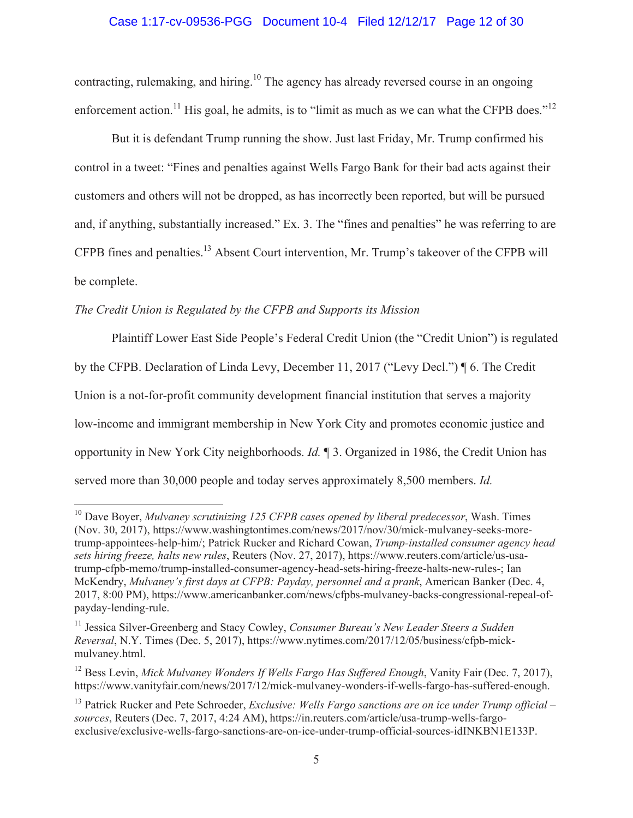## Case 1:17-cv-09536-PGG Document 10-4 Filed 12/12/17 Page 12 of 30

contracting, rulemaking, and hiring.<sup>10</sup> The agency has already reversed course in an ongoing enforcement action.<sup>11</sup> His goal, he admits, is to "limit as much as we can what the CFPB does."<sup>12</sup>

But it is defendant Trump running the show. Just last Friday, Mr. Trump confirmed his control in a tweet: "Fines and penalties against Wells Fargo Bank for their bad acts against their customers and others will not be dropped, as has incorrectly been reported, but will be pursued and, if anything, substantially increased." Ex. 3. The "fines and penalties" he was referring to are CFPB fines and penalties.13 Absent Court intervention, Mr. Trump's takeover of the CFPB will be complete.

# *The Credit Union is Regulated by the CFPB and Supports its Mission*

Plaintiff Lower East Side People's Federal Credit Union (the "Credit Union") is regulated by the CFPB. Declaration of Linda Levy, December 11, 2017 ("Levy Decl.") ¶ 6. The Credit Union is a not-for-profit community development financial institution that serves a majority low-income and immigrant membership in New York City and promotes economic justice and opportunity in New York City neighborhoods. *Id.* ¶ 3. Organized in 1986, the Credit Union has served more than 30,000 people and today serves approximately 8,500 members. *Id.*

<sup>10</sup> Dave Boyer, *Mulvaney scrutinizing 125 CFPB cases opened by liberal predecessor*, Wash. Times (Nov. 30, 2017), https://www.washingtontimes.com/news/2017/nov/30/mick-mulvaney-seeks-moretrump-appointees-help-him/; Patrick Rucker and Richard Cowan, *Trump-installed consumer agency head sets hiring freeze, halts new rules*, Reuters (Nov. 27, 2017), https://www.reuters.com/article/us-usatrump-cfpb-memo/trump-installed-consumer-agency-head-sets-hiring-freeze-halts-new-rules-; Ian McKendry, *Mulvaney's first days at CFPB: Payday, personnel and a prank*, American Banker (Dec. 4, 2017, 8:00 PM), https://www.americanbanker.com/news/cfpbs-mulvaney-backs-congressional-repeal-ofpayday-lending-rule.

<sup>&</sup>lt;sup>11</sup> Jessica Silver-Greenberg and Stacy Cowley, *Consumer Bureau's New Leader Steers a Sudden Reversal*, N.Y. Times (Dec. 5, 2017), https://www.nytimes.com/2017/12/05/business/cfpb-mickmulvaney.html.

<sup>12</sup> Bess Levin, *Mick Mulvaney Wonders If Wells Fargo Has Suffered Enough*, Vanity Fair (Dec. 7, 2017), https://www.vanityfair.com/news/2017/12/mick-mulvaney-wonders-if-wells-fargo-has-suffered-enough.

<sup>&</sup>lt;sup>13</sup> Patrick Rucker and Pete Schroeder, *Exclusive: Wells Fargo sanctions are on ice under Trump official – sources*, Reuters (Dec. 7, 2017, 4:24 AM), https://in.reuters.com/article/usa-trump-wells-fargoexclusive/exclusive-wells-fargo-sanctions-are-on-ice-under-trump-official-sources-idINKBN1E133P.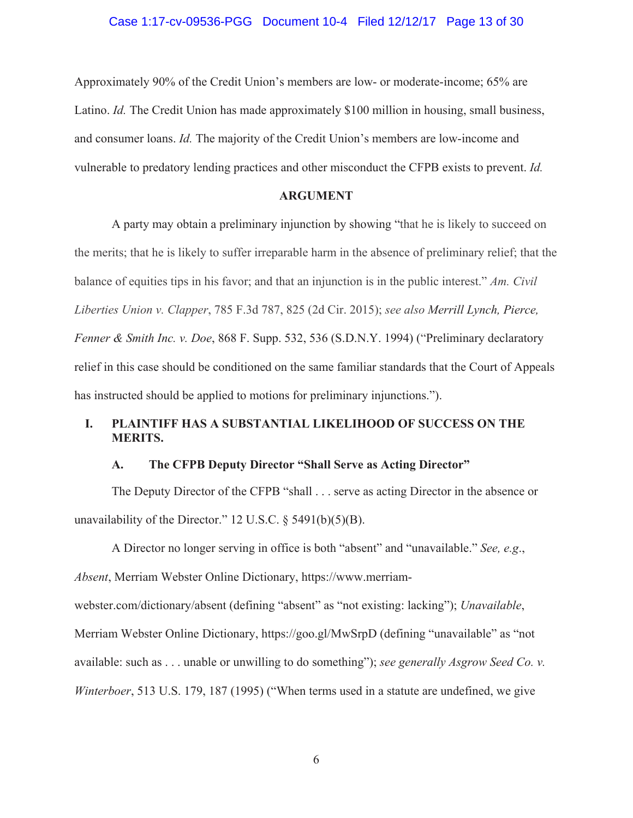Approximately 90% of the Credit Union's members are low- or moderate-income; 65% are Latino. *Id.* The Credit Union has made approximately \$100 million in housing, small business, and consumer loans. *Id.* The majority of the Credit Union's members are low-income and vulnerable to predatory lending practices and other misconduct the CFPB exists to prevent. *Id.*

## **ARGUMENT**

A party may obtain a preliminary injunction by showing "that he is likely to succeed on the merits; that he is likely to suffer irreparable harm in the absence of preliminary relief; that the balance of equities tips in his favor; and that an injunction is in the public interest." *Am. Civil Liberties Union v. Clapper*, 785 F.3d 787, 825 (2d Cir. 2015); *see also Merrill Lynch, Pierce, Fenner & Smith Inc. v. Doe*, 868 F. Supp. 532, 536 (S.D.N.Y. 1994) ("Preliminary declaratory relief in this case should be conditioned on the same familiar standards that the Court of Appeals has instructed should be applied to motions for preliminary injunctions.").

# **I. PLAINTIFF HAS A SUBSTANTIAL LIKELIHOOD OF SUCCESS ON THE MERITS.**

### **A. The CFPB Deputy Director "Shall Serve as Acting Director"**

The Deputy Director of the CFPB "shall . . . serve as acting Director in the absence or unavailability of the Director." 12 U.S.C.  $\S$  5491(b)(5)(B).

A Director no longer serving in office is both "absent" and "unavailable." *See, e.g*., *Absent*, Merriam Webster Online Dictionary, https://www.merriamwebster.com/dictionary/absent (defining "absent" as "not existing: lacking"); *Unavailable*, Merriam Webster Online Dictionary, https://goo.gl/MwSrpD (defining "unavailable" as "not available: such as . . . unable or unwilling to do something"); *see generally Asgrow Seed Co. v. Winterboer*, 513 U.S. 179, 187 (1995) ("When terms used in a statute are undefined, we give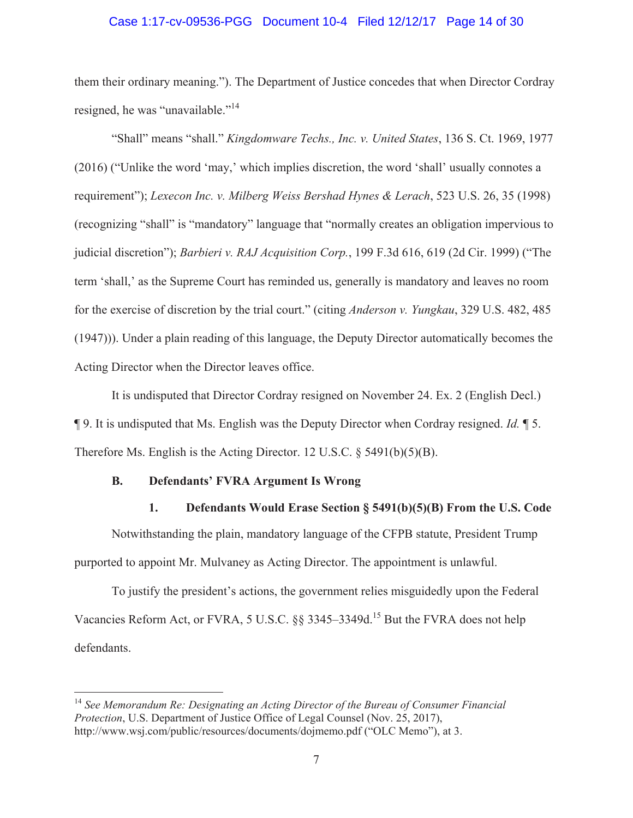### Case 1:17-cv-09536-PGG Document 10-4 Filed 12/12/17 Page 14 of 30

them their ordinary meaning."). The Department of Justice concedes that when Director Cordray resigned, he was "unavailable."<sup>14</sup>

"Shall" means "shall." *Kingdomware Techs., Inc. v. United States*, 136 S. Ct. 1969, 1977 (2016) ("Unlike the word 'may,' which implies discretion, the word 'shall' usually connotes a requirement"); *Lexecon Inc. v. Milberg Weiss Bershad Hynes & Lerach*, 523 U.S. 26, 35 (1998) (recognizing "shall" is "mandatory" language that "normally creates an obligation impervious to judicial discretion"); *Barbieri v. RAJ Acquisition Corp.*, 199 F.3d 616, 619 (2d Cir. 1999) ("The term 'shall,' as the Supreme Court has reminded us, generally is mandatory and leaves no room for the exercise of discretion by the trial court." (citing *Anderson v. Yungkau*, 329 U.S. 482, 485 (1947))). Under a plain reading of this language, the Deputy Director automatically becomes the Acting Director when the Director leaves office.

It is undisputed that Director Cordray resigned on November 24. Ex. 2 (English Decl.) ¶ 9. It is undisputed that Ms. English was the Deputy Director when Cordray resigned. *Id.* ¶ 5. Therefore Ms. English is the Acting Director. 12 U.S.C. § 5491(b)(5)(B).

### **B. Defendants' FVRA Argument Is Wrong**

# **1. Defendants Would Erase Section § 5491(b)(5)(B) From the U.S. Code**

Notwithstanding the plain, mandatory language of the CFPB statute, President Trump purported to appoint Mr. Mulvaney as Acting Director. The appointment is unlawful.

To justify the president's actions, the government relies misguidedly upon the Federal Vacancies Reform Act, or FVRA, 5 U.S.C. §§ 3345–3349d.<sup>15</sup> But the FVRA does not help defendants.

<sup>14</sup> *See Memorandum Re: Designating an Acting Director of the Bureau of Consumer Financial Protection*, U.S. Department of Justice Office of Legal Counsel (Nov. 25, 2017), http://www.wsj.com/public/resources/documents/dojmemo.pdf ("OLC Memo"), at 3.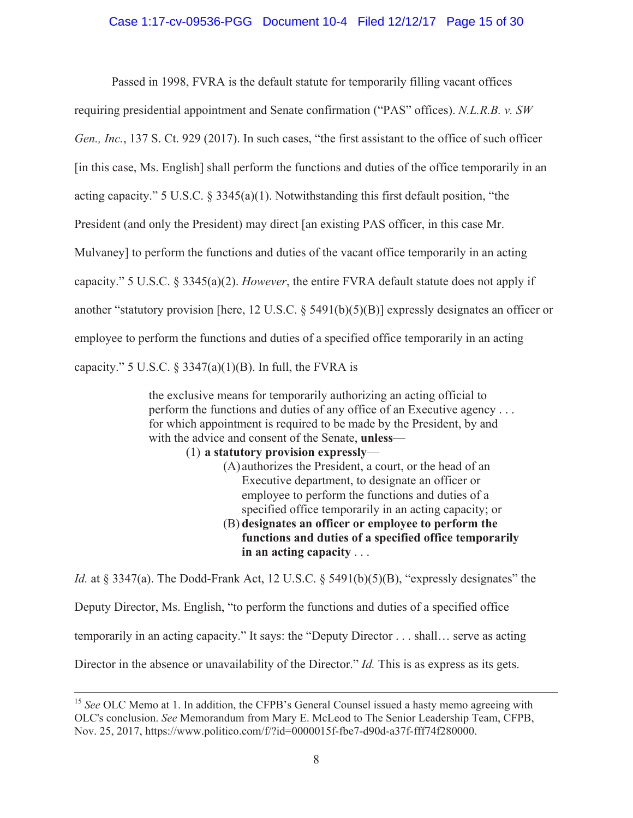## Case 1:17-cv-09536-PGG Document 10-4 Filed 12/12/17 Page 15 of 30

Passed in 1998, FVRA is the default statute for temporarily filling vacant offices

requiring presidential appointment and Senate confirmation ("PAS" offices). *N.L.R.B. v. SW* 

*Gen., Inc.*, 137 S. Ct. 929 (2017). In such cases, "the first assistant to the office of such officer

[in this case, Ms. English] shall perform the functions and duties of the office temporarily in an

acting capacity." 5 U.S.C. § 3345(a)(1). Notwithstanding this first default position, "the

President (and only the President) may direct [an existing PAS officer, in this case Mr.

Mulvaney] to perform the functions and duties of the vacant office temporarily in an acting

capacity." 5 U.S.C. § 3345(a)(2). *However*, the entire FVRA default statute does not apply if

another "statutory provision [here, 12 U.S.C. § 5491(b)(5)(B)] expressly designates an officer or

employee to perform the functions and duties of a specified office temporarily in an acting

capacity." 5 U.S.C.  $\S 3347(a)(1)(B)$ . In full, the FVRA is

the exclusive means for temporarily authorizing an acting official to perform the functions and duties of any office of an Executive agency . . . for which appointment is required to be made by the President, by and with the advice and consent of the Senate, **unless**—

## (1) **a statutory provision expressly**—

(A)authorizes the President, a court, or the head of an Executive department, to designate an officer or employee to perform the functions and duties of a specified office temporarily in an acting capacity; or

# (B) **designates an officer or employee to perform the functions and duties of a specified office temporarily in an acting capacity** . . .

*Id.* at § 3347(a). The Dodd-Frank Act, 12 U.S.C. § 5491(b)(5)(B), "expressly designates" the Deputy Director, Ms. English, "to perform the functions and duties of a specified office

temporarily in an acting capacity." It says: the "Deputy Director . . . shall… serve as acting

Director in the absence or unavailability of the Director." *Id.* This is as express as its gets.

<sup>&</sup>lt;sup>15</sup> See OLC Memo at 1. In addition, the CFPB's General Counsel issued a hasty memo agreeing with OLC's conclusion. *See* Memorandum from Mary E. McLeod to The Senior Leadership Team, CFPB, Nov. 25, 2017, https://www.politico.com/f/?id=0000015f-fbe7-d90d-a37f-fff74f280000.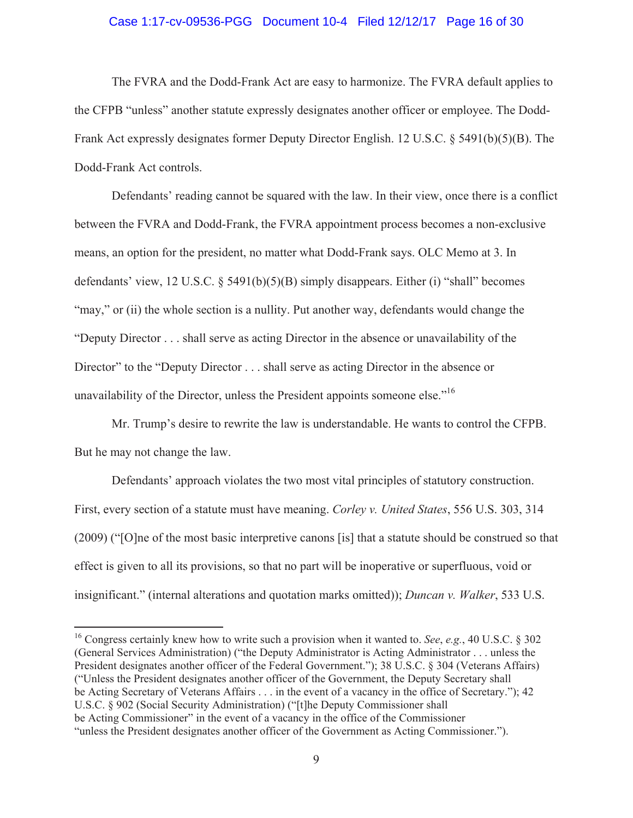### Case 1:17-cv-09536-PGG Document 10-4 Filed 12/12/17 Page 16 of 30

The FVRA and the Dodd-Frank Act are easy to harmonize. The FVRA default applies to the CFPB "unless" another statute expressly designates another officer or employee. The Dodd-Frank Act expressly designates former Deputy Director English. 12 U.S.C. § 5491(b)(5)(B). The Dodd-Frank Act controls.

Defendants' reading cannot be squared with the law. In their view, once there is a conflict between the FVRA and Dodd-Frank, the FVRA appointment process becomes a non-exclusive means, an option for the president, no matter what Dodd-Frank says. OLC Memo at 3. In defendants' view, 12 U.S.C. § 5491(b)(5)(B) simply disappears. Either (i) "shall" becomes "may," or (ii) the whole section is a nullity. Put another way, defendants would change the "Deputy Director . . . shall serve as acting Director in the absence or unavailability of the Director" to the "Deputy Director . . . shall serve as acting Director in the absence or unavailability of the Director, unless the President appoints someone else."<sup>16</sup>

Mr. Trump's desire to rewrite the law is understandable. He wants to control the CFPB. But he may not change the law.

Defendants' approach violates the two most vital principles of statutory construction. First, every section of a statute must have meaning. *Corley v. United States*, 556 U.S. 303, 314 (2009) ("[O]ne of the most basic interpretive canons [is] that a statute should be construed so that effect is given to all its provisions, so that no part will be inoperative or superfluous, void or insignificant." (internal alterations and quotation marks omitted)); *Duncan v. Walker*, 533 U.S.

<sup>16</sup> Congress certainly knew how to write such a provision when it wanted to. *See*, *e.g.*, 40 U.S.C. § 302 (General Services Administration) ("the Deputy Administrator is Acting Administrator . . . unless the President designates another officer of the Federal Government."); 38 U.S.C. § 304 (Veterans Affairs) ("Unless the President designates another officer of the Government, the Deputy Secretary shall be Acting Secretary of Veterans Affairs . . . in the event of a vacancy in the office of Secretary."); 42 U.S.C. § 902 (Social Security Administration) ("[t]he Deputy Commissioner shall be Acting Commissioner" in the event of a vacancy in the office of the Commissioner "unless the President designates another officer of the Government as Acting Commissioner.").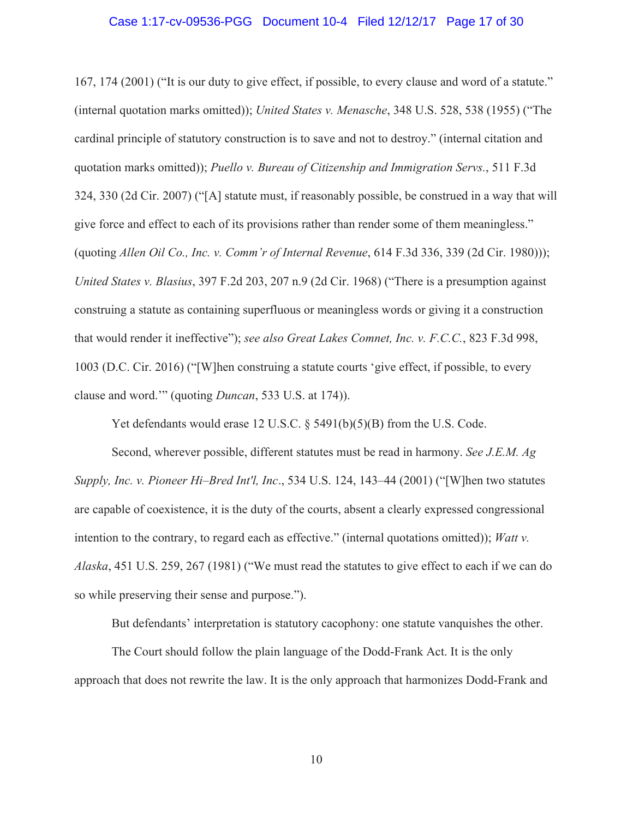### Case 1:17-cv-09536-PGG Document 10-4 Filed 12/12/17 Page 17 of 30

167, 174 (2001) ("It is our duty to give effect, if possible, to every clause and word of a statute." (internal quotation marks omitted)); *United States v. Menasche*, 348 U.S. 528, 538 (1955) ("The cardinal principle of statutory construction is to save and not to destroy." (internal citation and quotation marks omitted)); *Puello v. Bureau of Citizenship and Immigration Servs.*, 511 F.3d 324, 330 (2d Cir. 2007) ("[A] statute must, if reasonably possible, be construed in a way that will give force and effect to each of its provisions rather than render some of them meaningless." (quoting *Allen Oil Co., Inc. v. Comm'r of Internal Revenue*, 614 F.3d 336, 339 (2d Cir. 1980))); *United States v. Blasius*, 397 F.2d 203, 207 n.9 (2d Cir. 1968) ("There is a presumption against construing a statute as containing superfluous or meaningless words or giving it a construction that would render it ineffective"); *see also Great Lakes Comnet, Inc. v. F.C.C.*, 823 F.3d 998, 1003 (D.C. Cir. 2016) ("[W]hen construing a statute courts 'give effect, if possible, to every clause and word.'" (quoting *Duncan*, 533 U.S. at 174)).

Yet defendants would erase 12 U.S.C. § 5491(b)(5)(B) from the U.S. Code.

Second, wherever possible, different statutes must be read in harmony. *See J.E.M. Ag Supply, Inc. v. Pioneer Hi–Bred Int'l, Inc*., 534 U.S. 124, 143–44 (2001) ("[W]hen two statutes are capable of coexistence, it is the duty of the courts, absent a clearly expressed congressional intention to the contrary, to regard each as effective." (internal quotations omitted)); *Watt v. Alaska*, 451 U.S. 259, 267 (1981) ("We must read the statutes to give effect to each if we can do so while preserving their sense and purpose.").

But defendants' interpretation is statutory cacophony: one statute vanquishes the other.

The Court should follow the plain language of the Dodd-Frank Act. It is the only approach that does not rewrite the law. It is the only approach that harmonizes Dodd-Frank and

10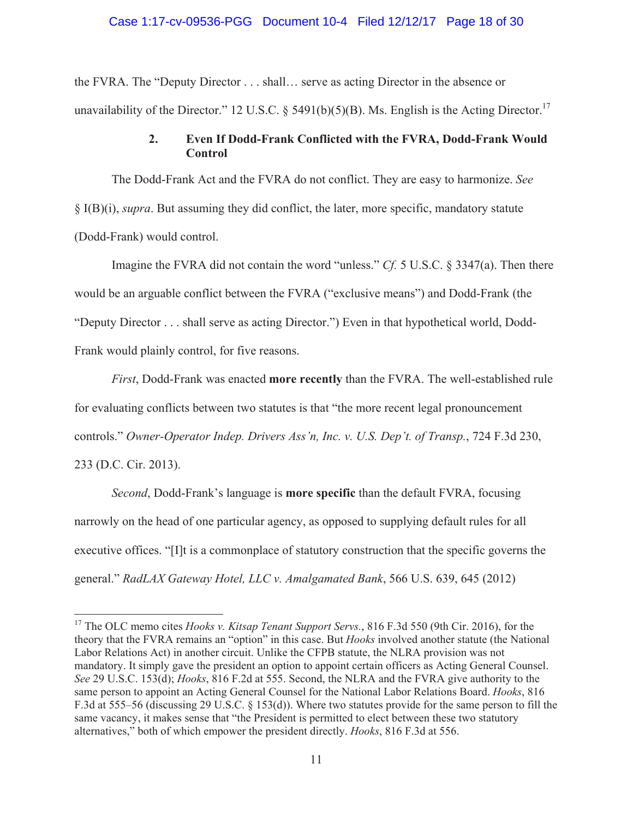### Case 1:17-cv-09536-PGG Document 10-4 Filed 12/12/17 Page 18 of 30

the FVRA. The "Deputy Director . . . shall… serve as acting Director in the absence or unavailability of the Director." 12 U.S.C. § 5491(b)(5)(B). Ms. English is the Acting Director.<sup>17</sup>

# **2. Even If Dodd-Frank Conflicted with the FVRA, Dodd-Frank Would Control**

The Dodd-Frank Act and the FVRA do not conflict. They are easy to harmonize. *See* § I(B)(i), *supra*. But assuming they did conflict, the later, more specific, mandatory statute (Dodd-Frank) would control.

Imagine the FVRA did not contain the word "unless." *Cf.* 5 U.S.C. § 3347(a). Then there would be an arguable conflict between the FVRA ("exclusive means") and Dodd-Frank (the "Deputy Director . . . shall serve as acting Director.") Even in that hypothetical world, Dodd-Frank would plainly control, for five reasons.

*First*, Dodd-Frank was enacted **more recently** than the FVRA. The well-established rule for evaluating conflicts between two statutes is that "the more recent legal pronouncement controls." *Owner-Operator Indep. Drivers Ass'n, Inc. v. U.S. Dep't. of Transp.*, 724 F.3d 230, 233 (D.C. Cir. 2013).

*Second*, Dodd-Frank's language is **more specific** than the default FVRA, focusing narrowly on the head of one particular agency, as opposed to supplying default rules for all executive offices. "[I]t is a commonplace of statutory construction that the specific governs the general." *RadLAX Gateway Hotel, LLC v. Amalgamated Bank*, 566 U.S. 639, 645 (2012)

<sup>17</sup> The OLC memo cites *Hooks v. Kitsap Tenant Support Servs.*, 816 F.3d 550 (9th Cir. 2016), for the theory that the FVRA remains an "option" in this case. But *Hooks* involved another statute (the National Labor Relations Act) in another circuit. Unlike the CFPB statute, the NLRA provision was not mandatory. It simply gave the president an option to appoint certain officers as Acting General Counsel. *See* 29 U.S.C. 153(d); *Hooks*, 816 F.2d at 555. Second, the NLRA and the FVRA give authority to the same person to appoint an Acting General Counsel for the National Labor Relations Board. *Hooks*, 816 F.3d at 555–56 (discussing 29 U.S.C. § 153(d)). Where two statutes provide for the same person to fill the same vacancy, it makes sense that "the President is permitted to elect between these two statutory alternatives," both of which empower the president directly. *Hooks*, 816 F.3d at 556.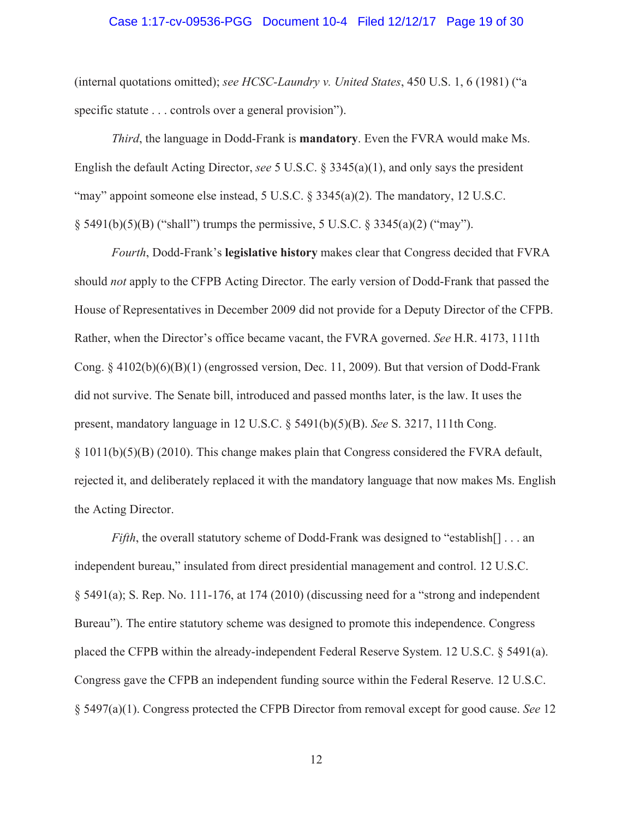#### Case 1:17-cv-09536-PGG Document 10-4 Filed 12/12/17 Page 19 of 30

(internal quotations omitted); *see HCSC-Laundry v. United States*, 450 U.S. 1, 6 (1981) ("a specific statute . . . controls over a general provision").

*Third*, the language in Dodd-Frank is **mandatory**. Even the FVRA would make Ms. English the default Acting Director, *see* 5 U.S.C. § 3345(a)(1), and only says the president "may" appoint someone else instead, 5 U.S.C. § 3345(a)(2). The mandatory, 12 U.S.C.  $\S$  5491(b)(5)(B) ("shall") trumps the permissive, 5 U.S.C.  $\S$  3345(a)(2) ("may").

*Fourth*, Dodd-Frank's **legislative history** makes clear that Congress decided that FVRA should *not* apply to the CFPB Acting Director. The early version of Dodd-Frank that passed the House of Representatives in December 2009 did not provide for a Deputy Director of the CFPB. Rather, when the Director's office became vacant, the FVRA governed. *See* H.R. 4173, 111th Cong.  $\S 4102(b)(6)(B)(1)$  (engrossed version, Dec. 11, 2009). But that version of Dodd-Frank did not survive. The Senate bill, introduced and passed months later, is the law. It uses the present, mandatory language in 12 U.S.C. § 5491(b)(5)(B). *See* S. 3217, 111th Cong. § 1011(b)(5)(B) (2010). This change makes plain that Congress considered the FVRA default, rejected it, and deliberately replaced it with the mandatory language that now makes Ms. English the Acting Director.

*Fifth*, the overall statutory scheme of Dodd-Frank was designed to "establish[] . . . an independent bureau," insulated from direct presidential management and control. 12 U.S.C. § 5491(a); S. Rep. No. 111-176, at 174 (2010) (discussing need for a "strong and independent Bureau"). The entire statutory scheme was designed to promote this independence. Congress placed the CFPB within the already-independent Federal Reserve System. 12 U.S.C. § 5491(a). Congress gave the CFPB an independent funding source within the Federal Reserve. 12 U.S.C. § 5497(a)(1). Congress protected the CFPB Director from removal except for good cause. *See* 12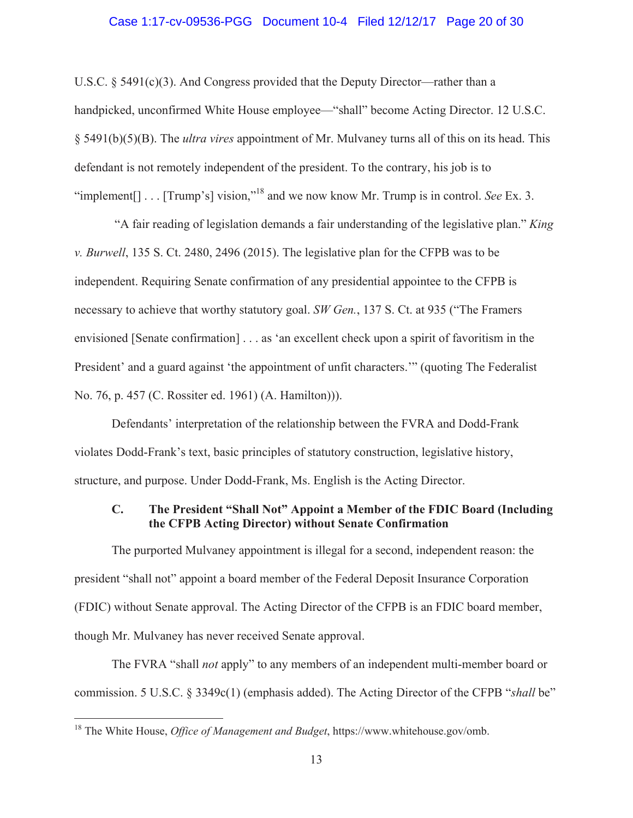### Case 1:17-cv-09536-PGG Document 10-4 Filed 12/12/17 Page 20 of 30

U.S.C.  $\S$  5491(c)(3). And Congress provided that the Deputy Director—rather than a handpicked, unconfirmed White House employee—"shall" become Acting Director. 12 U.S.C. § 5491(b)(5)(B). The *ultra vires* appointment of Mr. Mulvaney turns all of this on its head. This defendant is not remotely independent of the president. To the contrary, his job is to "implement[] . . . [Trump's] vision,"18 and we now know Mr. Trump is in control. *See* Ex. 3.

 "A fair reading of legislation demands a fair understanding of the legislative plan." *King v. Burwell*, 135 S. Ct. 2480, 2496 (2015). The legislative plan for the CFPB was to be independent. Requiring Senate confirmation of any presidential appointee to the CFPB is necessary to achieve that worthy statutory goal. *SW Gen.*, 137 S. Ct. at 935 ("The Framers envisioned [Senate confirmation] . . . as 'an excellent check upon a spirit of favoritism in the President' and a guard against 'the appointment of unfit characters.'" (quoting The Federalist No. 76, p. 457 (C. Rossiter ed. 1961) (A. Hamilton))).

Defendants' interpretation of the relationship between the FVRA and Dodd-Frank violates Dodd-Frank's text, basic principles of statutory construction, legislative history, structure, and purpose. Under Dodd-Frank, Ms. English is the Acting Director.

# **C. The President "Shall Not" Appoint a Member of the FDIC Board (Including the CFPB Acting Director) without Senate Confirmation**

The purported Mulvaney appointment is illegal for a second, independent reason: the president "shall not" appoint a board member of the Federal Deposit Insurance Corporation (FDIC) without Senate approval. The Acting Director of the CFPB is an FDIC board member, though Mr. Mulvaney has never received Senate approval.

The FVRA "shall *not* apply" to any members of an independent multi-member board or commission. 5 U.S.C. § 3349c(1) (emphasis added). The Acting Director of the CFPB "*shall* be"

<sup>18</sup> The White House, *Office of Management and Budget*, https://www.whitehouse.gov/omb.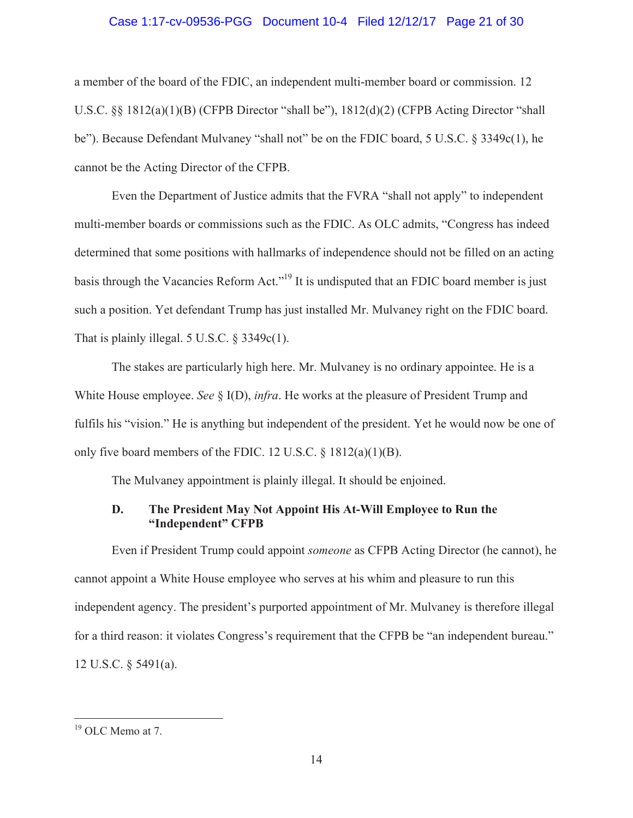### Case 1:17-cv-09536-PGG Document 10-4 Filed 12/12/17 Page 21 of 30

a member of the board of the FDIC, an independent multi-member board or commission. 12 U.S.C. §§ 1812(a)(1)(B) (CFPB Director "shall be"), 1812(d)(2) (CFPB Acting Director "shall be"). Because Defendant Mulvaney "shall not" be on the FDIC board, 5 U.S.C. § 3349c(1), he cannot be the Acting Director of the CFPB.

Even the Department of Justice admits that the FVRA "shall not apply" to independent multi-member boards or commissions such as the FDIC. As OLC admits, "Congress has indeed determined that some positions with hallmarks of independence should not be filled on an acting basis through the Vacancies Reform Act."<sup>19</sup> It is undisputed that an FDIC board member is just such a position. Yet defendant Trump has just installed Mr. Mulvaney right on the FDIC board. That is plainly illegal. 5 U.S.C.  $\S$  3349c(1).

The stakes are particularly high here. Mr. Mulvaney is no ordinary appointee. He is a White House employee. *See* § I(D), *infra*. He works at the pleasure of President Trump and fulfils his "vision." He is anything but independent of the president. Yet he would now be one of only five board members of the FDIC. 12 U.S.C. § 1812(a)(1)(B).

The Mulvaney appointment is plainly illegal. It should be enjoined.

## **D. The President May Not Appoint His At-Will Employee to Run the "Independent" CFPB**

Even if President Trump could appoint *someone* as CFPB Acting Director (he cannot), he cannot appoint a White House employee who serves at his whim and pleasure to run this independent agency. The president's purported appointment of Mr. Mulvaney is therefore illegal for a third reason: it violates Congress's requirement that the CFPB be "an independent bureau." 12 U.S.C. § 5491(a).

<sup>&</sup>lt;sup>19</sup> OLC Memo at 7.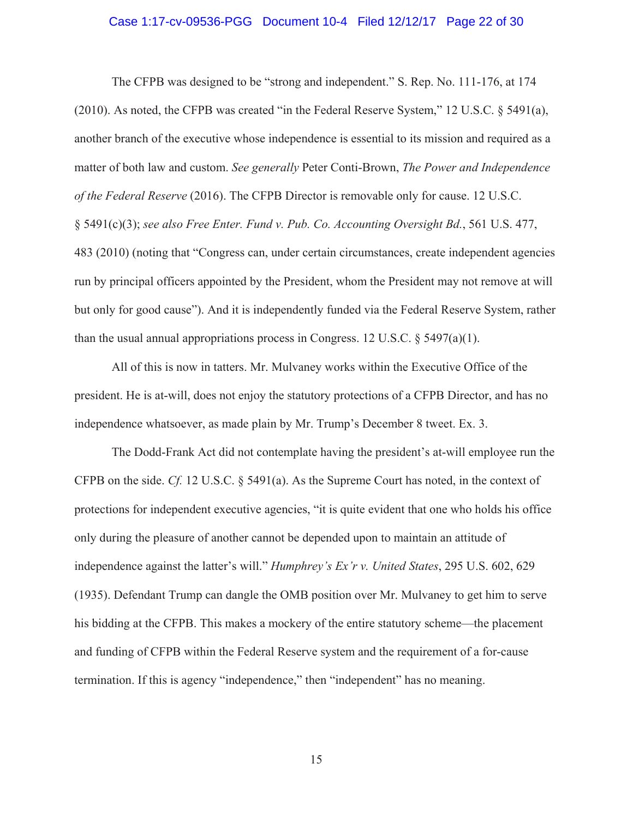### Case 1:17-cv-09536-PGG Document 10-4 Filed 12/12/17 Page 22 of 30

The CFPB was designed to be "strong and independent." S. Rep. No. 111-176, at 174 (2010). As noted, the CFPB was created "in the Federal Reserve System," 12 U.S.C. § 5491(a), another branch of the executive whose independence is essential to its mission and required as a matter of both law and custom. *See generally* Peter Conti-Brown, *The Power and Independence of the Federal Reserve* (2016). The CFPB Director is removable only for cause. 12 U.S.C. § 5491(c)(3); *see also Free Enter. Fund v. Pub. Co. Accounting Oversight Bd.*, 561 U.S. 477, 483 (2010) (noting that "Congress can, under certain circumstances, create independent agencies run by principal officers appointed by the President, whom the President may not remove at will but only for good cause"). And it is independently funded via the Federal Reserve System, rather than the usual annual appropriations process in Congress. 12 U.S.C.  $\S$  5497(a)(1).

All of this is now in tatters. Mr. Mulvaney works within the Executive Office of the president. He is at-will, does not enjoy the statutory protections of a CFPB Director, and has no independence whatsoever, as made plain by Mr. Trump's December 8 tweet. Ex. 3.

The Dodd-Frank Act did not contemplate having the president's at-will employee run the CFPB on the side. *Cf.* 12 U.S.C. § 5491(a). As the Supreme Court has noted, in the context of protections for independent executive agencies, "it is quite evident that one who holds his office only during the pleasure of another cannot be depended upon to maintain an attitude of independence against the latter's will." *Humphrey's Ex'r v. United States*, 295 U.S. 602, 629 (1935). Defendant Trump can dangle the OMB position over Mr. Mulvaney to get him to serve his bidding at the CFPB. This makes a mockery of the entire statutory scheme—the placement and funding of CFPB within the Federal Reserve system and the requirement of a for-cause termination. If this is agency "independence," then "independent" has no meaning.

15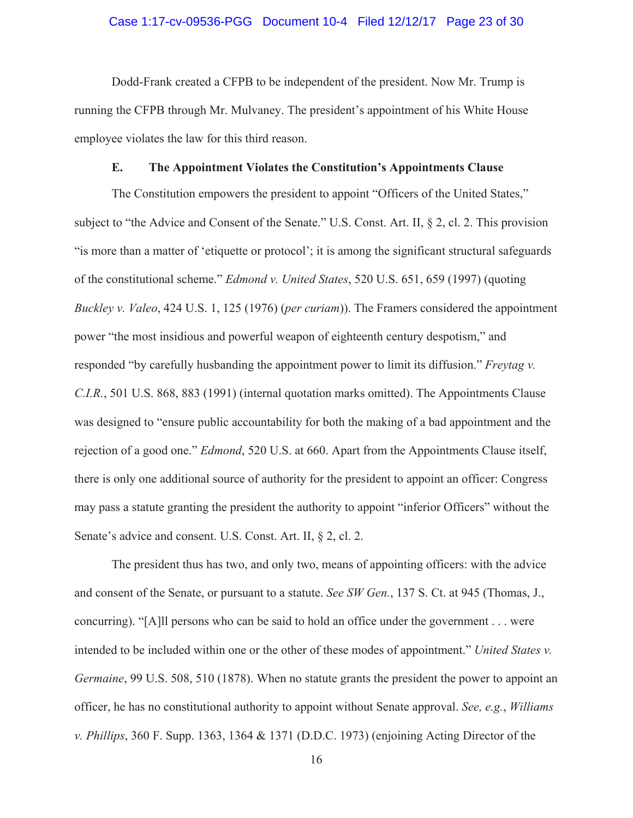### Case 1:17-cv-09536-PGG Document 10-4 Filed 12/12/17 Page 23 of 30

Dodd-Frank created a CFPB to be independent of the president. Now Mr. Trump is running the CFPB through Mr. Mulvaney. The president's appointment of his White House employee violates the law for this third reason.

## **E. The Appointment Violates the Constitution's Appointments Clause**

The Constitution empowers the president to appoint "Officers of the United States," subject to "the Advice and Consent of the Senate." U.S. Const. Art. II, § 2, cl. 2. This provision "is more than a matter of 'etiquette or protocol'; it is among the significant structural safeguards of the constitutional scheme." *Edmond v. United States*, 520 U.S. 651, 659 (1997) (quoting *Buckley v. Valeo*, 424 U.S. 1, 125 (1976) (*per curiam*)). The Framers considered the appointment power "the most insidious and powerful weapon of eighteenth century despotism," and responded "by carefully husbanding the appointment power to limit its diffusion." *Freytag v. C.I.R.*, 501 U.S. 868, 883 (1991) (internal quotation marks omitted). The Appointments Clause was designed to "ensure public accountability for both the making of a bad appointment and the rejection of a good one." *Edmond*, 520 U.S. at 660. Apart from the Appointments Clause itself, there is only one additional source of authority for the president to appoint an officer: Congress may pass a statute granting the president the authority to appoint "inferior Officers" without the Senate's advice and consent. U.S. Const. Art. II, § 2, cl. 2.

The president thus has two, and only two, means of appointing officers: with the advice and consent of the Senate, or pursuant to a statute. *See SW Gen.*, 137 S. Ct. at 945 (Thomas, J., concurring). "[A]ll persons who can be said to hold an office under the government . . . were intended to be included within one or the other of these modes of appointment." *United States v. Germaine*, 99 U.S. 508, 510 (1878). When no statute grants the president the power to appoint an officer, he has no constitutional authority to appoint without Senate approval. *See, e.g.*, *Williams v. Phillips*, 360 F. Supp. 1363, 1364 & 1371 (D.D.C. 1973) (enjoining Acting Director of the

16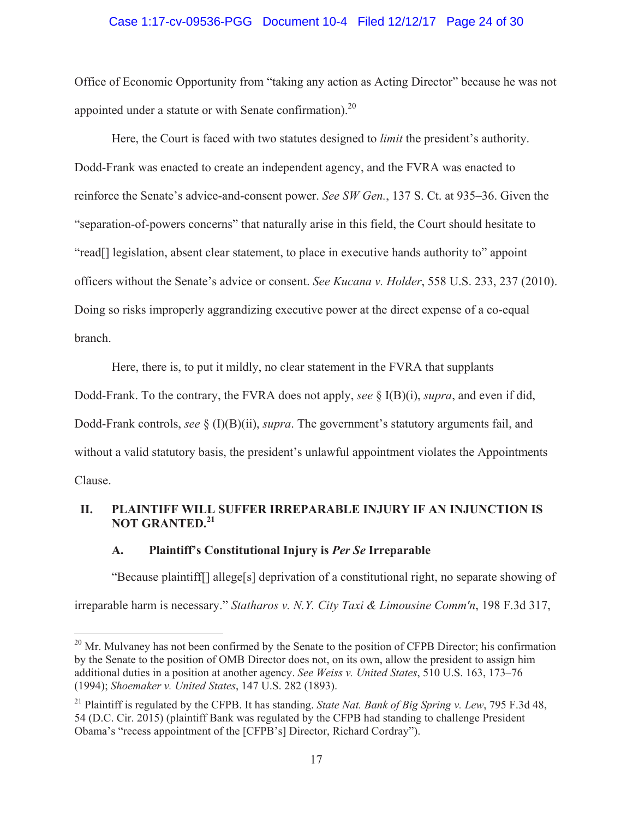### Case 1:17-cv-09536-PGG Document 10-4 Filed 12/12/17 Page 24 of 30

Office of Economic Opportunity from "taking any action as Acting Director" because he was not appointed under a statute or with Senate confirmation).<sup>20</sup>

Here, the Court is faced with two statutes designed to *limit* the president's authority. Dodd-Frank was enacted to create an independent agency, and the FVRA was enacted to reinforce the Senate's advice-and-consent power. *See SW Gen.*, 137 S. Ct. at 935–36. Given the "separation-of-powers concerns" that naturally arise in this field, the Court should hesitate to "read[] legislation, absent clear statement, to place in executive hands authority to" appoint officers without the Senate's advice or consent. *See Kucana v. Holder*, 558 U.S. 233, 237 (2010). Doing so risks improperly aggrandizing executive power at the direct expense of a co-equal branch.

Here, there is, to put it mildly, no clear statement in the FVRA that supplants

Dodd-Frank. To the contrary, the FVRA does not apply, *see* § I(B)(i), *supra*, and even if did, Dodd-Frank controls, *see* § (I)(B)(ii), *supra*. The government's statutory arguments fail, and without a valid statutory basis, the president's unlawful appointment violates the Appointments

Clause.

# **II. PLAINTIFF WILL SUFFER IRREPARABLE INJURY IF AN INJUNCTION IS NOT GRANTED.<sup>21</sup>**

### **A. Plaintiff's Constitutional Injury is** *Per Se* **Irreparable**

"Because plaintiff[] allege[s] deprivation of a constitutional right, no separate showing of irreparable harm is necessary." *Statharos v. N.Y. City Taxi & Limousine Comm'n*, 198 F.3d 317,

<sup>&</sup>lt;sup>20</sup> Mr. Mulvaney has not been confirmed by the Senate to the position of CFPB Director; his confirmation by the Senate to the position of OMB Director does not, on its own, allow the president to assign him additional duties in a position at another agency. *See Weiss v. United States*, 510 U.S. 163, 173–76 (1994); *Shoemaker v. United States*, 147 U.S. 282 (1893).

<sup>21</sup> Plaintiff is regulated by the CFPB. It has standing. *State Nat. Bank of Big Spring v. Lew*, 795 F.3d 48, 54 (D.C. Cir. 2015) (plaintiff Bank was regulated by the CFPB had standing to challenge President Obama's "recess appointment of the [CFPB's] Director, Richard Cordray").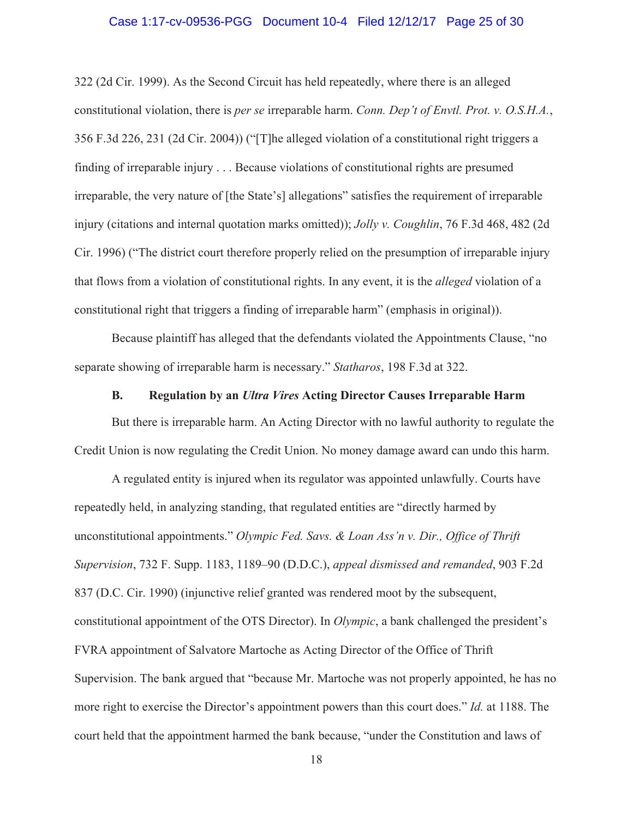### Case 1:17-cv-09536-PGG Document 10-4 Filed 12/12/17 Page 25 of 30

322 (2d Cir. 1999). As the Second Circuit has held repeatedly, where there is an alleged constitutional violation, there is *per se* irreparable harm. *Conn. Dep't of Envtl. Prot. v. O.S.H.A.*, 356 F.3d 226, 231 (2d Cir. 2004)) ("[T]he alleged violation of a constitutional right triggers a finding of irreparable injury . . . Because violations of constitutional rights are presumed irreparable, the very nature of [the State's] allegations" satisfies the requirement of irreparable injury (citations and internal quotation marks omitted)); *Jolly v. Coughlin*, 76 F.3d 468, 482 (2d Cir. 1996) ("The district court therefore properly relied on the presumption of irreparable injury that flows from a violation of constitutional rights. In any event, it is the *alleged* violation of a constitutional right that triggers a finding of irreparable harm" (emphasis in original)).

Because plaintiff has alleged that the defendants violated the Appointments Clause, "no separate showing of irreparable harm is necessary." *Statharos*, 198 F.3d at 322.

### **B. Regulation by an** *Ultra Vires* **Acting Director Causes Irreparable Harm**

But there is irreparable harm. An Acting Director with no lawful authority to regulate the Credit Union is now regulating the Credit Union. No money damage award can undo this harm.

A regulated entity is injured when its regulator was appointed unlawfully. Courts have repeatedly held, in analyzing standing, that regulated entities are "directly harmed by unconstitutional appointments." *Olympic Fed. Savs. & Loan Ass'n v. Dir., Office of Thrift Supervision*, 732 F. Supp. 1183, 1189–90 (D.D.C.), *appeal dismissed and remanded*, 903 F.2d 837 (D.C. Cir. 1990) (injunctive relief granted was rendered moot by the subsequent, constitutional appointment of the OTS Director). In *Olympic*, a bank challenged the president's FVRA appointment of Salvatore Martoche as Acting Director of the Office of Thrift Supervision. The bank argued that "because Mr. Martoche was not properly appointed, he has no more right to exercise the Director's appointment powers than this court does." *Id.* at 1188. The court held that the appointment harmed the bank because, "under the Constitution and laws of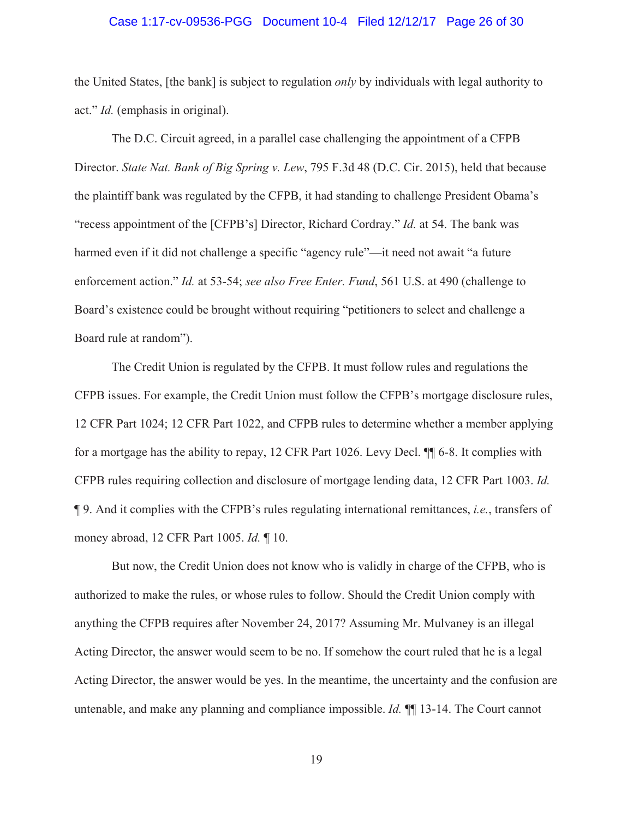#### Case 1:17-cv-09536-PGG Document 10-4 Filed 12/12/17 Page 26 of 30

the United States, [the bank] is subject to regulation *only* by individuals with legal authority to act." *Id.* (emphasis in original).

The D.C. Circuit agreed, in a parallel case challenging the appointment of a CFPB Director. *State Nat. Bank of Big Spring v. Lew*, 795 F.3d 48 (D.C. Cir. 2015), held that because the plaintiff bank was regulated by the CFPB, it had standing to challenge President Obama's "recess appointment of the [CFPB's] Director, Richard Cordray." *Id.* at 54. The bank was harmed even if it did not challenge a specific "agency rule"—it need not await "a future enforcement action." *Id.* at 53-54; *see also Free Enter. Fund*, 561 U.S. at 490 (challenge to Board's existence could be brought without requiring "petitioners to select and challenge a Board rule at random").

The Credit Union is regulated by the CFPB. It must follow rules and regulations the CFPB issues. For example, the Credit Union must follow the CFPB's mortgage disclosure rules, 12 CFR Part 1024; 12 CFR Part 1022, and CFPB rules to determine whether a member applying for a mortgage has the ability to repay, 12 CFR Part 1026. Levy Decl. ¶¶ 6-8. It complies with CFPB rules requiring collection and disclosure of mortgage lending data, 12 CFR Part 1003. *Id.* ¶ 9. And it complies with the CFPB's rules regulating international remittances, *i.e.*, transfers of money abroad, 12 CFR Part 1005. *Id.* ¶ 10.

But now, the Credit Union does not know who is validly in charge of the CFPB, who is authorized to make the rules, or whose rules to follow. Should the Credit Union comply with anything the CFPB requires after November 24, 2017? Assuming Mr. Mulvaney is an illegal Acting Director, the answer would seem to be no. If somehow the court ruled that he is a legal Acting Director, the answer would be yes. In the meantime, the uncertainty and the confusion are untenable, and make any planning and compliance impossible. *Id.* ¶¶ 13-14. The Court cannot

19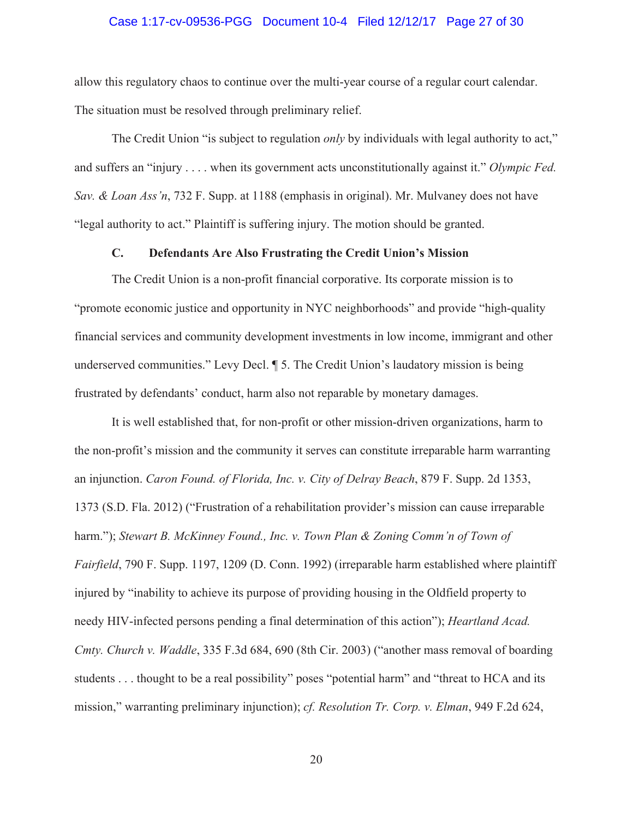### Case 1:17-cv-09536-PGG Document 10-4 Filed 12/12/17 Page 27 of 30

allow this regulatory chaos to continue over the multi-year course of a regular court calendar. The situation must be resolved through preliminary relief.

The Credit Union "is subject to regulation *only* by individuals with legal authority to act," and suffers an "injury . . . . when its government acts unconstitutionally against it." *Olympic Fed. Sav. & Loan Ass'n*, 732 F. Supp. at 1188 (emphasis in original). Mr. Mulvaney does not have "legal authority to act." Plaintiff is suffering injury. The motion should be granted.

### **C. Defendants Are Also Frustrating the Credit Union's Mission**

The Credit Union is a non-profit financial corporative. Its corporate mission is to "promote economic justice and opportunity in NYC neighborhoods" and provide "high-quality financial services and community development investments in low income, immigrant and other underserved communities." Levy Decl. ¶ 5. The Credit Union's laudatory mission is being frustrated by defendants' conduct, harm also not reparable by monetary damages.

It is well established that, for non-profit or other mission-driven organizations, harm to the non-profit's mission and the community it serves can constitute irreparable harm warranting an injunction. *Caron Found. of Florida, Inc. v. City of Delray Beach*, 879 F. Supp. 2d 1353, 1373 (S.D. Fla. 2012) ("Frustration of a rehabilitation provider's mission can cause irreparable harm."); *Stewart B. McKinney Found., Inc. v. Town Plan & Zoning Comm'n of Town of Fairfield*, 790 F. Supp. 1197, 1209 (D. Conn. 1992) (irreparable harm established where plaintiff injured by "inability to achieve its purpose of providing housing in the Oldfield property to needy HIV-infected persons pending a final determination of this action"); *Heartland Acad. Cmty. Church v. Waddle*, 335 F.3d 684, 690 (8th Cir. 2003) ("another mass removal of boarding students . . . thought to be a real possibility" poses "potential harm" and "threat to HCA and its mission," warranting preliminary injunction); *cf. Resolution Tr. Corp. v. Elman*, 949 F.2d 624,

20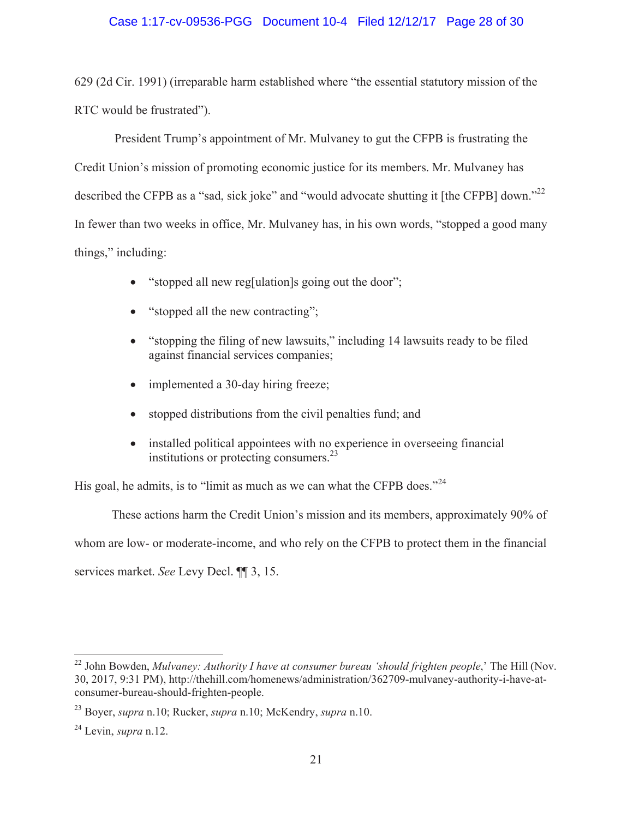# Case 1:17-cv-09536-PGG Document 10-4 Filed 12/12/17 Page 28 of 30

629 (2d Cir. 1991) (irreparable harm established where "the essential statutory mission of the RTC would be frustrated").

 President Trump's appointment of Mr. Mulvaney to gut the CFPB is frustrating the Credit Union's mission of promoting economic justice for its members. Mr. Mulvaney has described the CFPB as a "sad, sick joke" and "would advocate shutting it [the CFPB] down."<sup>22</sup> In fewer than two weeks in office, Mr. Mulvaney has, in his own words, "stopped a good many things," including:

- "stopped all new reg[ulation]s going out the door";
- $\bullet$  "stopped all the new contracting";
- $\bullet$  "stopping the filing of new lawsuits," including 14 lawsuits ready to be filed against financial services companies;
- implemented a 30-day hiring freeze;
- stopped distributions from the civil penalties fund; and
- installed political appointees with no experience in overseeing financial institutions or protecting consumers.<sup>23</sup>

His goal, he admits, is to "limit as much as we can what the CFPB does."<sup>24</sup>

These actions harm the Credit Union's mission and its members, approximately 90% of whom are low- or moderate-income, and who rely on the CFPB to protect them in the financial services market. *See* Levy Decl. ¶¶ 3, 15.

<sup>&</sup>lt;sup>22</sup> John Bowden, *Mulvaney: Authority I have at consumer bureau 'should frighten people*,' The Hill (Nov. 30, 2017, 9:31 PM), http://thehill.com/homenews/administration/362709-mulvaney-authority-i-have-atconsumer-bureau-should-frighten-people.

<sup>23</sup> Boyer, *supra* n.10; Rucker, *supra* n.10; McKendry, *supra* n.10.

<sup>24</sup> Levin, *supra* n.12.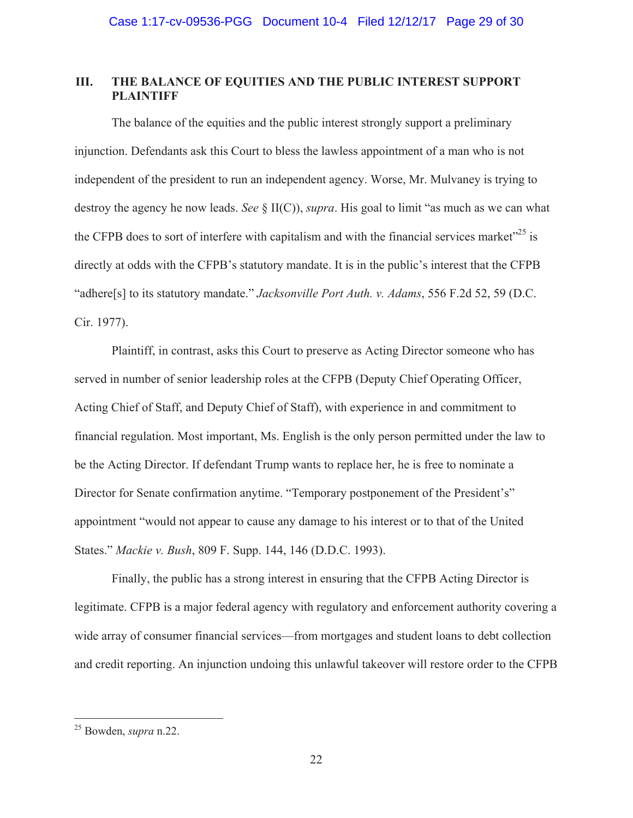# **III. THE BALANCE OF EQUITIES AND THE PUBLIC INTEREST SUPPORT PLAINTIFF**

The balance of the equities and the public interest strongly support a preliminary injunction. Defendants ask this Court to bless the lawless appointment of a man who is not independent of the president to run an independent agency. Worse, Mr. Mulvaney is trying to destroy the agency he now leads. *See* § II(C)), *supra*. His goal to limit "as much as we can what the CFPB does to sort of interfere with capitalism and with the financial services market<sup> $25$ </sup> is directly at odds with the CFPB's statutory mandate. It is in the public's interest that the CFPB "adhere[s] to its statutory mandate." *Jacksonville Port Auth. v. Adams*, 556 F.2d 52, 59 (D.C. Cir. 1977).

Plaintiff, in contrast, asks this Court to preserve as Acting Director someone who has served in number of senior leadership roles at the CFPB (Deputy Chief Operating Officer, Acting Chief of Staff, and Deputy Chief of Staff), with experience in and commitment to financial regulation. Most important, Ms. English is the only person permitted under the law to be the Acting Director. If defendant Trump wants to replace her, he is free to nominate a Director for Senate confirmation anytime. "Temporary postponement of the President's" appointment "would not appear to cause any damage to his interest or to that of the United States." *Mackie v. Bush*, 809 F. Supp. 144, 146 (D.D.C. 1993).

Finally, the public has a strong interest in ensuring that the CFPB Acting Director is legitimate. CFPB is a major federal agency with regulatory and enforcement authority covering a wide array of consumer financial services—from mortgages and student loans to debt collection and credit reporting. An injunction undoing this unlawful takeover will restore order to the CFPB

<sup>25</sup> Bowden, *supra* n.22.